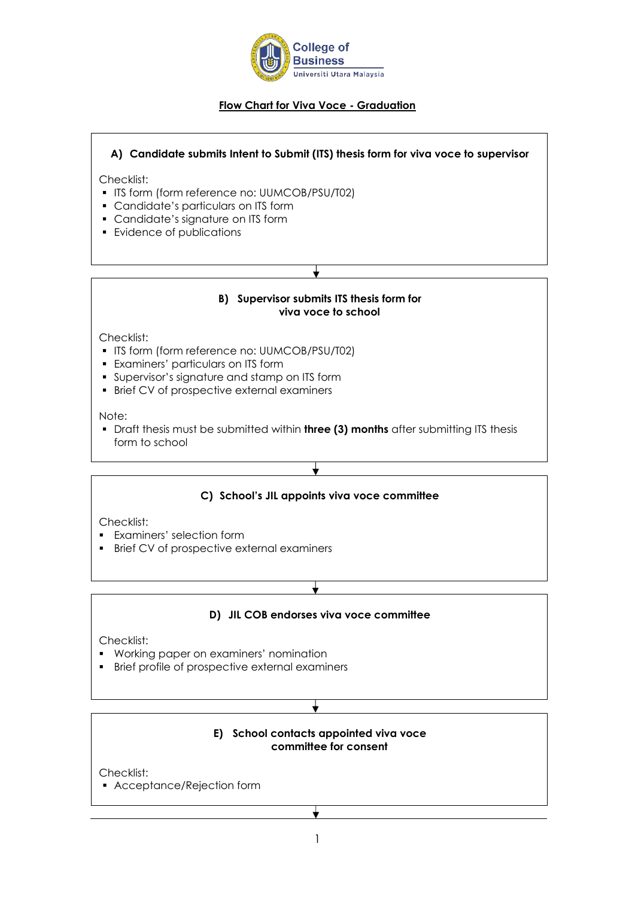

# **Flow Chart for Viva Voce - Graduation**

# **A) Candidate submits Intent to Submit (ITS) thesis form for viva voce to supervisor**

Checklist:

- ITS form (form reference no: UUMCOB/PSU/T02)
- Candidate's particulars on ITS form
- Candidate's signature on ITS form
- Evidence of publications

# **B) Supervisor submits ITS thesis form for viva voce to school**

Checklist:

- ITS form (form reference no: UUMCOB/PSU/T02)
- Examiners' particulars on ITS form
- Supervisor's signature and stamp on ITS form
- **Brief CV of prospective external examiners**

Note:

▪ Draft thesis must be submitted within **three (3) months** after submitting ITS thesis form to school

# **C) School's JIL appoints viva voce committee**

╈

Checklist:

- Examiners' selection form
- Brief CV of prospective external examiners

# **D) JIL COB endorses viva voce committee**

Checklist:

- Working paper on examiners' nomination
- Brief profile of prospective external examiners

#### **E) School contacts appointed viva voce committee for consent**

Checklist:

▪ Acceptance/Rejection form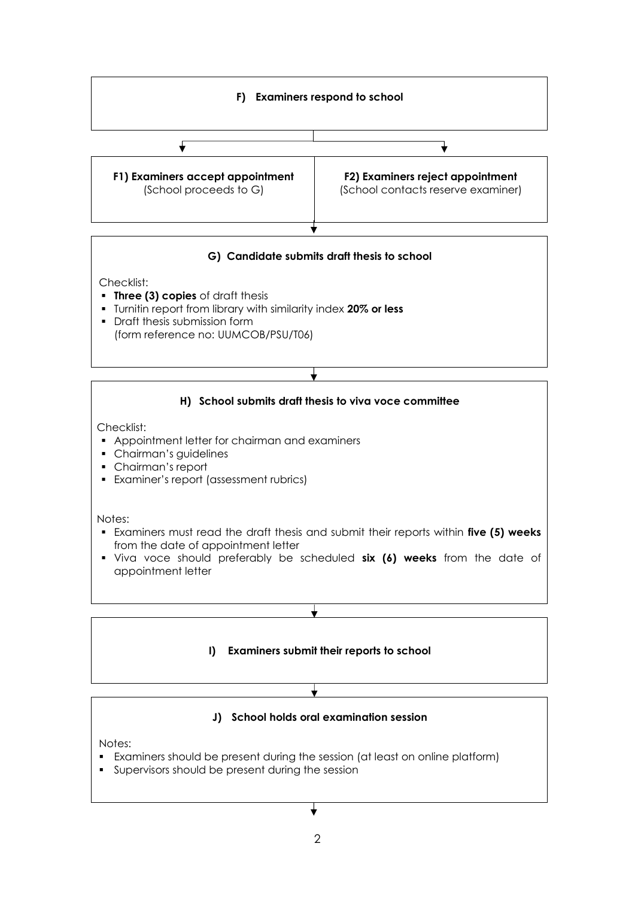

# **G) Candidate submits draft thesis to school**

Checklist:

- **Three (3) copies** of draft thesis
- Turnitin report from library with similarity index **20% or less**
- Draft thesis submission form (form reference no: UUMCOB/PSU/T06)



# **I) Examiners submit their reports to school**



╈

Notes:

- Examiners should be present during the session (at least on online platform)
- Supervisors should be present during the session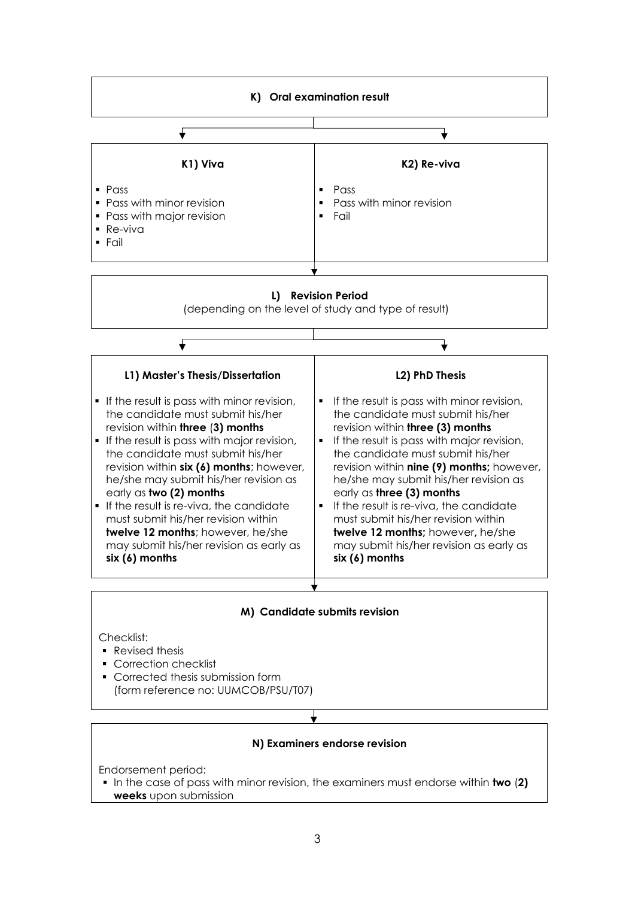

#### **L) Revision Period**

(depending on the level of study and type of result)

| L1) Master's Thesis/Dissertation                                                                                                                                                                                                                                                                                                                                                                                                                                                                                               | <b>L2) PhD Thesis</b>                                                                                                                                                                                                                                                                                                                                                                                                                                                                                                                                     |
|--------------------------------------------------------------------------------------------------------------------------------------------------------------------------------------------------------------------------------------------------------------------------------------------------------------------------------------------------------------------------------------------------------------------------------------------------------------------------------------------------------------------------------|-----------------------------------------------------------------------------------------------------------------------------------------------------------------------------------------------------------------------------------------------------------------------------------------------------------------------------------------------------------------------------------------------------------------------------------------------------------------------------------------------------------------------------------------------------------|
| • If the result is pass with minor revision,<br>the candidate must submit his/her<br>revision within three (3) months<br>• If the result is pass with major revision,<br>the candidate must submit his/her<br>revision within six (6) months; however,<br>he/she may submit his/her revision as<br>early as two (2) months<br>$\blacksquare$ If the result is re-viva, the candidate<br>must submit his/her revision within<br>twelve 12 months; however, he/she<br>may submit his/her revision as early as<br>$six(6)$ months | If the result is pass with minor revision,<br>٠<br>the candidate must submit his/her<br>revision within three (3) months<br>If the result is pass with major revision,<br>$\blacksquare$<br>the candidate must submit his/her<br>revision within nine (9) months; however,<br>he/she may submit his/her revision as<br>early as three $(3)$ months<br>If the result is re-viva, the candidate<br>$\blacksquare$<br>must submit his/her revision within<br>twelve 12 months; however, he/she<br>may submit his/her revision as early as<br>$six(6)$ months |
|                                                                                                                                                                                                                                                                                                                                                                                                                                                                                                                                |                                                                                                                                                                                                                                                                                                                                                                                                                                                                                                                                                           |

#### **M) Candidate submits revision**

Checklist:

- Revised thesis
- Correction checklist
- Corrected thesis submission form (form reference no: UUMCOB/PSU/T07)

#### **N) Examiners endorse revision**

Endorsement period:

▪ In the case of pass with minor revision, the examiners must endorse within **two** (**2) weeks** upon submission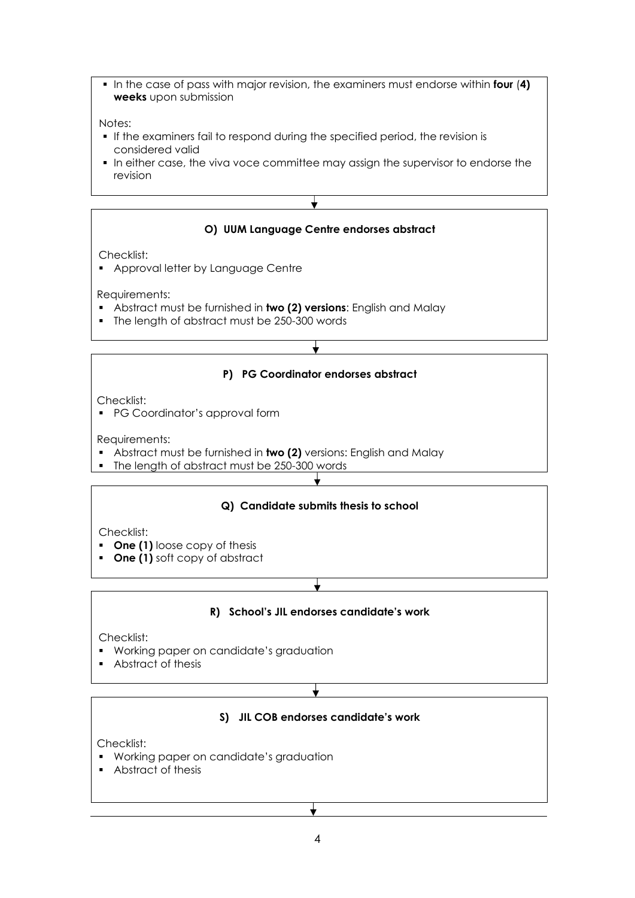▪ In the case of pass with major revision, the examiners must endorse within **four** (**4) weeks** upon submission

#### Notes:

- **.** If the examiners fail to respond during the specified period, the revision is considered valid
- **•** In either case, the viva voce committee may assign the supervisor to endorse the revision



Checklist:

- **One (1)** loose copy of thesis
- **One (1)** soft copy of abstract

# **R) School's JIL endorses candidate's work**

Checklist:

- Working paper on candidate's graduation
- Abstract of thesis

╈

# **S) JIL COB endorses candidate's work**

Checklist:

- Working paper on candidate's graduation
- Abstract of thesis